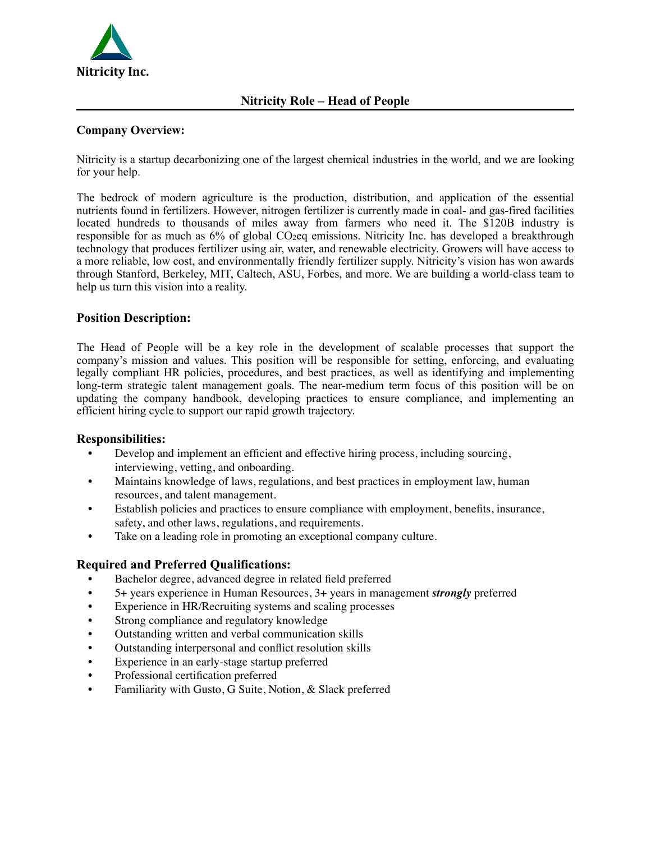

## **Company Overview:**

Nitricity is a startup decarbonizing one of the largest chemical industries in the world, and we are looking for your help.

The bedrock of modern agriculture is the production, distribution, and application of the essential nutrients found in fertilizers. However, nitrogen fertilizer is currently made in coal- and gas-fired facilities located hundreds to thousands of miles away from farmers who need it. The \$120B industry is responsible for as much as 6% of global CO<sub>2</sub>eq emissions. Nitricity Inc. has developed a breakthrough technology that produces fertilizer using air, water, and renewable electricity. Growers will have access to a more reliable, low cost, and environmentally friendly fertilizer supply. Nitricity's vision has won awards through Stanford, Berkeley, MIT, Caltech, ASU, Forbes, and more. We are building a world-class team to help us turn this vision into a reality.

## **Position Description:**

The Head of People will be a key role in the development of scalable processes that support the company's mission and values. This position will be responsible for setting, enforcing, and evaluating legally compliant HR policies, procedures, and best practices, as well as identifying and implementing long-term strategic talent management goals. The near-medium term focus of this position will be on updating the company handbook, developing practices to ensure compliance, and implementing an efficient hiring cycle to support our rapid growth trajectory.

#### **Responsibilities:**

- Develop and implement an efficient and effective hiring process, including sourcing, interviewing, vetting, and onboarding.
- Maintains knowledge of laws, regulations, and best practices in employment law, human resources, and talent management.
- Establish policies and practices to ensure compliance with employment, benefits, insurance, safety, and other laws, regulations, and requirements.
- Take on a leading role in promoting an exceptional company culture.

#### **Required and Preferred Qualifications:**

- Bachelor degree, advanced degree in related field preferred
- 5+ years experience in Human Resources, 3+ years in management *strongly* preferred
- Experience in HR/Recruiting systems and scaling processes
- Strong compliance and regulatory knowledge
- Outstanding written and verbal communication skills
- Outstanding interpersonal and conflict resolution skills
- Experience in an early-stage startup preferred
- Professional certification preferred
- Familiarity with Gusto, G Suite, Notion, & Slack preferred